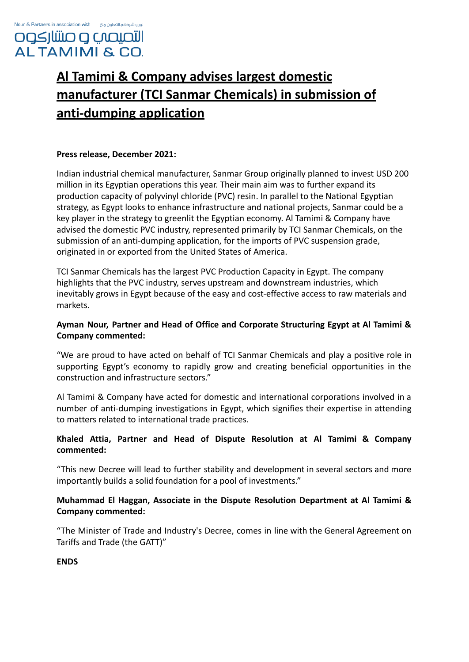# **Al Tamimi & Company advises largest domestic manufacturer (TCI Sanmar Chemicals) in submission of anti-dumping application**

### **Press release, December 2021:**

Indian industrial chemical manufacturer, Sanmar Group originally planned to invest USD 200 million in its Egyptian operations this year. Their main aim was to further expand its production capacity of polyvinyl chloride (PVC) resin. In parallel to the National Egyptian strategy, as Egypt looks to enhance infrastructure and national projects, Sanmar could be a key player in the strategy to greenlit the Egyptian economy. Al Tamimi & Company have advised the domestic PVC industry, represented primarily by TCI Sanmar Chemicals, on the submission of an anti-dumping application, for the imports of PVC suspension grade, originated in or exported from the United States of America.

TCI Sanmar Chemicals has the largest PVC Production Capacity in Egypt. The company highlights that the PVC industry, serves upstream and downstream industries, which inevitably grows in Egypt because of the easy and cost-effective access to raw materials and markets.

## **Ayman Nour, Partner and Head of Office and Corporate Structuring Egypt at Al Tamimi & Company commented:**

"We are proud to have acted on behalf of TCI Sanmar Chemicals and play a positive role in supporting Egypt's economy to rapidly grow and creating beneficial opportunities in the construction and infrastructure sectors."

Al Tamimi & Company have acted for domestic and international corporations involved in a number of anti-dumping investigations in Egypt, which signifies their expertise in attending to matters related to international trade practices.

## **Khaled Attia, Partner and Head of Dispute Resolution at Al Tamimi & Company commented:**

"This new Decree will lead to further stability and development in several sectors and more importantly builds a solid foundation for a pool of investments."

## **Muhammad El Haggan, Associate in the Dispute Resolution Department at Al Tamimi & Company commented:**

"The Minister of Trade and Industry's Decree, comes in line with the General Agreement on Tariffs and Trade (the GATT)"

#### **ENDS**